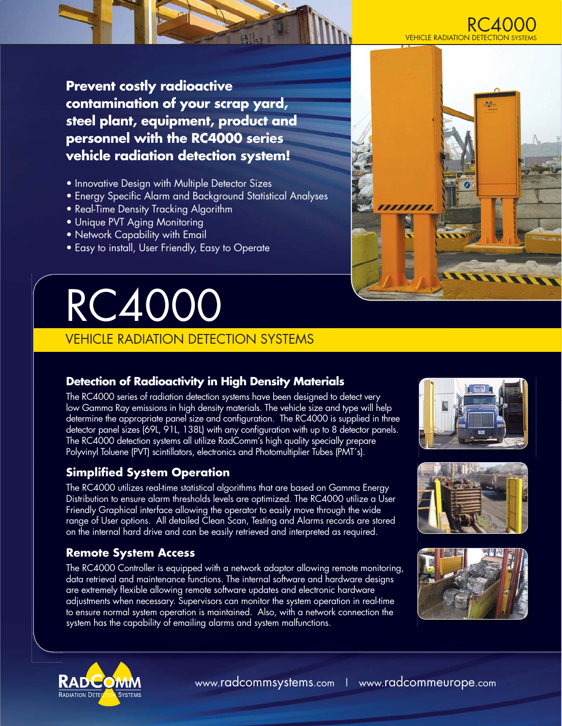

**Prevent costly radioactive contamination of your scrap yard, steel plant, equipment, product and personnel with the RC4000 series vehicle radiation detection system!**

- Innovative Design with Multiple Detector Sizes
- Energy Specific Alarm and Background Statistical Analyses
- Real-Time Density Tracking Algorithm
- Unique PVT Aging Monitoring
- Network Capability with Email
- **Easy to install, User Friendly, Easy to Operate**

# RC400

# VEHICLE RADIATION DETECTION SYSTEMS

# **Detection of Radioactivity in High Density Materials**

The RC4000 series of radiation detection systems have been designed to detect very low Gamma Ray emissions in high density materials. The vehicle size and type will help determine the appropriate panel size and configuration. The RC4000 is supplied in three detector panel sizes (69L, 91L, 138L) with any configuration with up to 8 detector panels. The RC4000 detection systems all utilize RadComm's high quality specially prepare Polyvinyl Toluene (PVT) scintillators, electronics and Photomultiplier Tubes (PMT´s).

# **Simplified System Operation**

The RC4000 utilizes real-time statistical algorithms that are based on Gamma Energy Distribution to ensure alarm thresholds levels are optimized. The RC4000 utilize a User Friendly Graphical interface allowing the operator to easily move through the wide range of User options. All detailed Clean Scan, Testing and Alarms records are stored on the internal hard drive and can be easily retrieved and interpreted as required.

# **Remote System Access**

The RC4000 Controller is equipped with a network adaptor allowing remote monitoring, data retrieval and maintenance functions. The internal software and hardware designs are extremely flexible allowing remote software updates and electronic hardware adjustments when necessary. Supervisors can monitor the system operation in real-time to ensure normal system operation is maintained. Also, with a network connection the system has the capability of emailing alarms and system malfunctions.